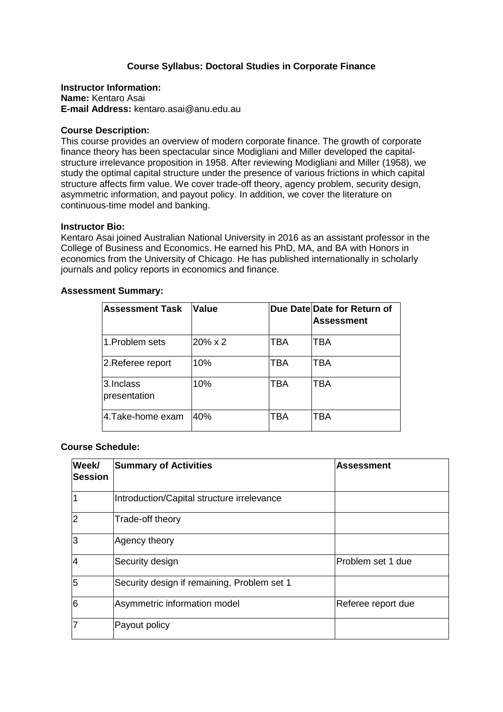# **Course Syllabus: Doctoral Studies in Corporate Finance**

**Instructor Information: Name:** Kentaro Asai **E-mail Address:** kentaro.asai@anu.edu.au

## **Course Description:**

This course provides an overview of modern corporate finance. The growth of corporate finance theory has been spectacular since Modigliani and Miller developed the capitalstructure irrelevance proposition in 1958. After reviewing Modigliani and Miller (1958), we study the optimal capital structure under the presence of various frictions in which capital structure affects firm value. We cover trade-off theory, agency problem, security design, asymmetric information, and payout policy. In addition, we cover the literature on continuous-time model and banking.

## **Instructor Bio:**

Kentaro Asai joined Australian National University in 2016 as an assistant professor in the College of Business and Economics. He earned his PhD, MA, and BA with Honors in economics from the University of Chicago. He has published internationally in scholarly journals and policy reports in economics and finance.

| <b>Assessment Summary:</b> |  |
|----------------------------|--|
|----------------------------|--|

| <b>Assessment Task</b>    | <b>Value</b> |            | Due Date Date for Return of<br><b>Assessment</b> |
|---------------------------|--------------|------------|--------------------------------------------------|
| 1. Problem sets           | 20% x 2      | <b>TBA</b> | <b>TBA</b>                                       |
| 2.Referee report          | 10%          | <b>TBA</b> | <b>TBA</b>                                       |
| 3.Inclass<br>presentation | 10%          | TBA        | TBA                                              |
| 4.Take-home exam          | 40%          | TBA        | TBA                                              |

## **Course Schedule:**

| Week/<br><b>Session</b> | <b>Summary of Activities</b>                | <b>Assessment</b>  |
|-------------------------|---------------------------------------------|--------------------|
|                         | Introduction/Capital structure irrelevance  |                    |
| 2                       | Trade-off theory                            |                    |
| 3                       | Agency theory                               |                    |
| $\overline{4}$          | Security design                             | Problem set 1 due  |
| 5                       | Security design if remaining, Problem set 1 |                    |
| 6                       | Asymmetric information model                | Referee report due |
| 7                       | Payout policy                               |                    |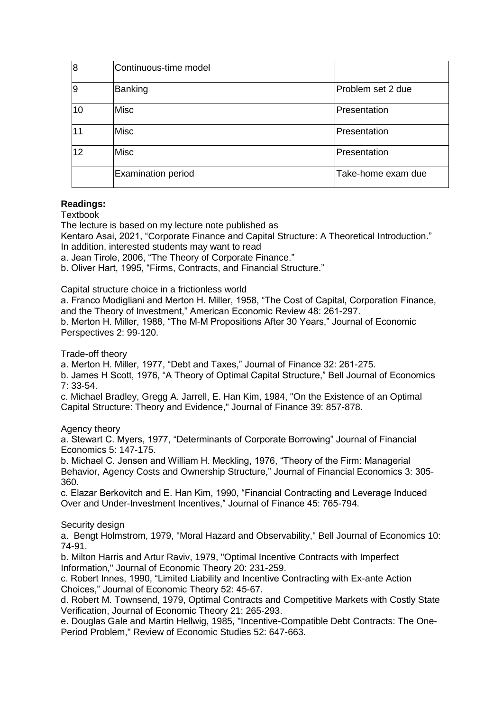| $\overline{8}$ | Continuous-time model     |                    |
|----------------|---------------------------|--------------------|
| $\overline{9}$ | Banking                   | Problem set 2 due  |
| 10             | <b>Misc</b>               | Presentation       |
| 11             | <b>Misc</b>               | Presentation       |
| 12             | <b>Misc</b>               | Presentation       |
|                | <b>Examination period</b> | Take-home exam due |

# **Readings:**

**Textbook** 

The lecture is based on my lecture note published as

Kentaro Asai, 2021, "Corporate Finance and Capital Structure: A Theoretical Introduction." In addition, interested students may want to read

a. Jean Tirole, 2006, "The Theory of Corporate Finance."

b. Oliver Hart, 1995, "Firms, Contracts, and Financial Structure."

Capital structure choice in a frictionless world

a. Franco Modigliani and Merton H. Miller, 1958, "The Cost of Capital, Corporation Finance, and the Theory of Investment," American Economic Review 48: 261-297.

b. Merton H. Miller, 1988, "The M-M Propositions After 30 Years," Journal of Economic Perspectives 2: 99-120.

Trade-off theory

a. Merton H. Miller, 1977, "Debt and Taxes," Journal of Finance 32: 261-275.

b. James H Scott, 1976, "A Theory of Optimal Capital Structure," Bell Journal of Economics 7: 33-54.

c. Michael Bradley, Gregg A. Jarrell, E. Han Kim, 1984, "On the Existence of an Optimal Capital Structure: Theory and Evidence," Journal of Finance 39: 857-878.

Agency theory

a. Stewart C. Myers, 1977, "Determinants of Corporate Borrowing" Journal of Financial Economics 5: 147-175.

b. Michael C. Jensen and William H. Meckling, 1976, "Theory of the Firm: Managerial Behavior, Agency Costs and Ownership Structure," Journal of Financial Economics 3: 305- 360.

c. Elazar Berkovitch and E. Han Kim, 1990, "Financial Contracting and Leverage Induced Over and Under-Investment Incentives," Journal of Finance 45: 765-794.

Security design

a. Bengt Holmstrom, 1979, "Moral Hazard and Observability," Bell Journal of Economics 10: 74-91.

b. Milton Harris and Artur Raviv, 1979, "Optimal Incentive Contracts with Imperfect Information," Journal of Economic Theory 20: 231-259.

c. Robert Innes, 1990, "Limited Liability and Incentive Contracting with Ex-ante Action Choices," Journal of Economic Theory 52: 45-67.

d. Robert M. Townsend, 1979, Optimal Contracts and Competitive Markets with Costly State Verification, Journal of Economic Theory 21: 265-293.

e. Douglas Gale and Martin Hellwig, 1985, "Incentive-Compatible Debt Contracts: The One-Period Problem," Review of Economic Studies 52: 647-663.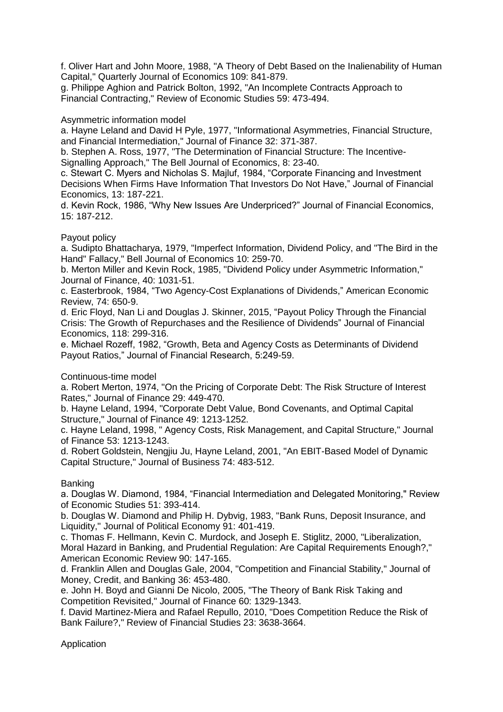f. Oliver Hart and John Moore, 1988, "A Theory of Debt Based on the Inalienability of Human Capital," Quarterly Journal of Economics 109: 841-879.

g. Philippe Aghion and Patrick Bolton, 1992, "An Incomplete Contracts Approach to Financial Contracting," Review of Economic Studies 59: 473-494.

Asymmetric information model

a. Hayne Leland and David H Pyle, 1977, "Informational Asymmetries, Financial Structure, and Financial Intermediation," Journal of Finance 32: 371-387.

b. Stephen A. Ross, 1977, "The Determination of Financial Structure: The Incentive-Signalling Approach," The Bell Journal of Economics, 8: 23-40.

c. Stewart C. Myers and Nicholas S. Majluf, 1984, "Corporate Financing and Investment Decisions When Firms Have Information That Investors Do Not Have," Journal of Financial Economics, 13: 187-221.

d. Kevin Rock, 1986, "Why New Issues Are Underpriced?" Journal of Financial Economics, 15: 187-212.

# Payout policy

a. Sudipto Bhattacharya, 1979, "Imperfect Information, Dividend Policy, and "The Bird in the Hand" Fallacy," Bell Journal of Economics 10: 259-70.

b. Merton Miller and Kevin Rock, 1985, "Dividend Policy under Asymmetric Information," Journal of Finance, 40: 1031-51.

c. Easterbrook, 1984, "Two Agency-Cost Explanations of Dividends," American Economic Review, 74: 650-9.

d. Eric Floyd, Nan Li and Douglas J. Skinner, 2015, "Payout Policy Through the Financial Crisis: The Growth of Repurchases and the Resilience of Dividends" Journal of Financial Economics, 118: 299-316.

e. Michael Rozeff, 1982, "Growth, Beta and Agency Costs as Determinants of Dividend Payout Ratios," Journal of Financial Research, 5:249-59.

## Continuous-time model

a. Robert Merton, 1974, "On the Pricing of Corporate Debt: The Risk Structure of Interest Rates," Journal of Finance 29: 449-470.

b. Hayne Leland, 1994, "Corporate Debt Value, Bond Covenants, and Optimal Capital Structure," Journal of Finance 49: 1213-1252.

c. Hayne Leland, 1998, " Agency Costs, Risk Management, and Capital Structure," Journal of Finance 53: 1213-1243.

d. Robert Goldstein, Nengjiu Ju, Hayne Leland, 2001, "An EBIT-Based Model of Dynamic Capital Structure," Journal of Business 74: 483-512.

# Banking

a. Douglas W. Diamond, 1984, "Financial Intermediation and Delegated Monitoring," Review of Economic Studies 51: 393-414.

b. Douglas W. Diamond and Philip H. Dybvig, 1983, "Bank Runs, Deposit Insurance, and Liquidity," Journal of Political Economy 91: 401-419.

c. Thomas F. Hellmann, Kevin C. Murdock, and Joseph E. Stiglitz, 2000, "Liberalization, Moral Hazard in Banking, and Prudential Regulation: Are Capital Requirements Enough?," American Economic Review 90: 147-165.

d. Franklin Allen and Douglas Gale, 2004, "Competition and Financial Stability," Journal of Money, Credit, and Banking 36: 453-480.

e. John H. Boyd and Gianni De Nicolo, 2005, "The Theory of Bank Risk Taking and Competition Revisited," Journal of Finance 60: 1329-1343.

f. David Martinez-Miera and Rafael Repullo, 2010, "Does Competition Reduce the Risk of Bank Failure?," Review of Financial Studies 23: 3638-3664.

Application